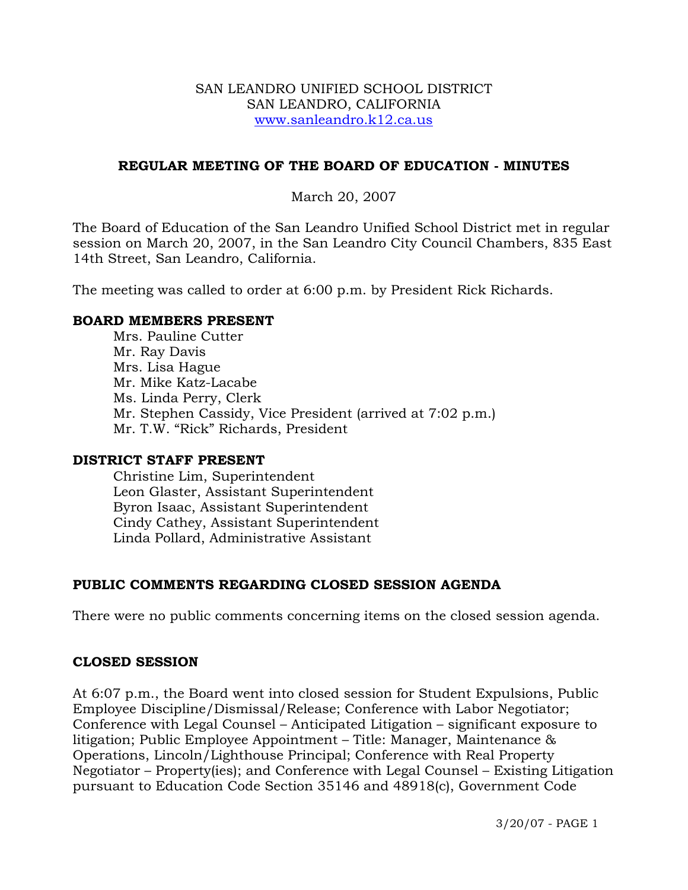#### SAN LEANDRO UNIFIED SCHOOL DISTRICT SAN LEANDRO, CALIFORNIA www.sanleandro.k12.ca.us

## **REGULAR MEETING OF THE BOARD OF EDUCATION - MINUTES**

## March 20, 2007

The Board of Education of the San Leandro Unified School District met in regular session on March 20, 2007, in the San Leandro City Council Chambers, 835 East 14th Street, San Leandro, California.

The meeting was called to order at 6:00 p.m. by President Rick Richards.

### **BOARD MEMBERS PRESENT**

Mrs. Pauline Cutter Mr. Ray Davis Mrs. Lisa Hague Mr. Mike Katz-Lacabe Ms. Linda Perry, Clerk Mr. Stephen Cassidy, Vice President (arrived at 7:02 p.m.) Mr. T.W. "Rick" Richards, President

#### **DISTRICT STAFF PRESENT**

Christine Lim, Superintendent Leon Glaster, Assistant Superintendent Byron Isaac, Assistant Superintendent Cindy Cathey, Assistant Superintendent Linda Pollard, Administrative Assistant

## **PUBLIC COMMENTS REGARDING CLOSED SESSION AGENDA**

There were no public comments concerning items on the closed session agenda.

## **CLOSED SESSION**

At 6:07 p.m., the Board went into closed session for Student Expulsions, Public Employee Discipline/Dismissal/Release; Conference with Labor Negotiator; Conference with Legal Counsel – Anticipated Litigation – significant exposure to litigation; Public Employee Appointment – Title: Manager, Maintenance & Operations, Lincoln/Lighthouse Principal; Conference with Real Property Negotiator – Property(ies); and Conference with Legal Counsel – Existing Litigation pursuant to Education Code Section 35146 and 48918(c), Government Code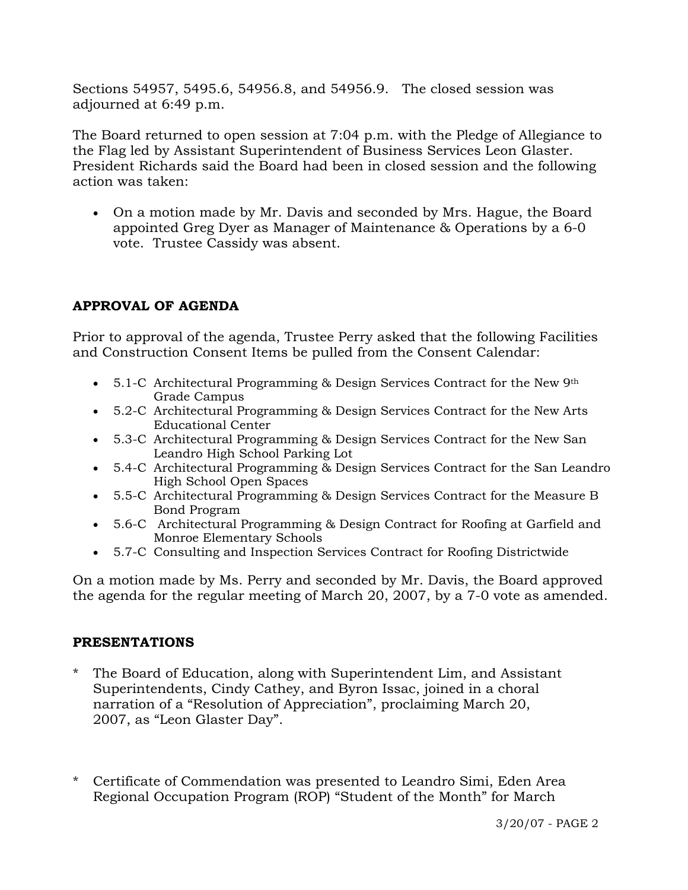Sections 54957, 5495.6, 54956.8, and 54956.9. The closed session was adjourned at 6:49 p.m.

The Board returned to open session at 7:04 p.m. with the Pledge of Allegiance to the Flag led by Assistant Superintendent of Business Services Leon Glaster. President Richards said the Board had been in closed session and the following action was taken:

• On a motion made by Mr. Davis and seconded by Mrs. Hague, the Board appointed Greg Dyer as Manager of Maintenance & Operations by a 6-0 vote. Trustee Cassidy was absent.

# **APPROVAL OF AGENDA**

Prior to approval of the agenda, Trustee Perry asked that the following Facilities and Construction Consent Items be pulled from the Consent Calendar:

- 5.1-C Architectural Programming & Design Services Contract for the New 9th Grade Campus
- 5.2-C Architectural Programming & Design Services Contract for the New Arts Educational Center
- 5.3-C Architectural Programming & Design Services Contract for the New San Leandro High School Parking Lot
- 5.4-C Architectural Programming & Design Services Contract for the San Leandro High School Open Spaces
- 5.5-C Architectural Programming & Design Services Contract for the Measure B Bond Program
- 5.6-C Architectural Programming & Design Contract for Roofing at Garfield and Monroe Elementary Schools
- 5.7-C Consulting and Inspection Services Contract for Roofing Districtwide

On a motion made by Ms. Perry and seconded by Mr. Davis, the Board approved the agenda for the regular meeting of March 20, 2007, by a 7-0 vote as amended.

## **PRESENTATIONS**

- \* The Board of Education, along with Superintendent Lim, and Assistant Superintendents, Cindy Cathey, and Byron Issac, joined in a choral narration of a "Resolution of Appreciation", proclaiming March 20, 2007, as "Leon Glaster Day".
- \* Certificate of Commendation was presented to Leandro Simi, Eden Area Regional Occupation Program (ROP) "Student of the Month" for March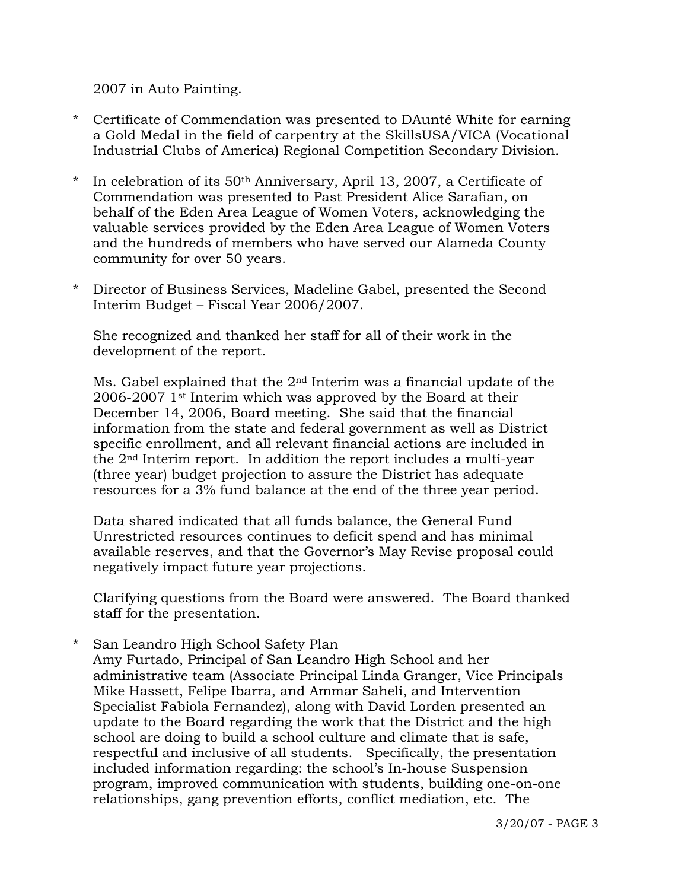2007 in Auto Painting.

- \* Certificate of Commendation was presented to DAunté White for earning a Gold Medal in the field of carpentry at the SkillsUSA/VICA (Vocational Industrial Clubs of America) Regional Competition Secondary Division.
- \* In celebration of its 50th Anniversary, April 13, 2007, a Certificate of Commendation was presented to Past President Alice Sarafian, on behalf of the Eden Area League of Women Voters, acknowledging the valuable services provided by the Eden Area League of Women Voters and the hundreds of members who have served our Alameda County community for over 50 years.
- \* Director of Business Services, Madeline Gabel, presented the Second Interim Budget – Fiscal Year 2006/2007.

 She recognized and thanked her staff for all of their work in the development of the report.

 Ms. Gabel explained that the 2nd Interim was a financial update of the 2006-2007 1st Interim which was approved by the Board at their December 14, 2006, Board meeting. She said that the financial information from the state and federal government as well as District specific enrollment, and all relevant financial actions are included in the 2nd Interim report. In addition the report includes a multi-year (three year) budget projection to assure the District has adequate resources for a 3% fund balance at the end of the three year period.

 Data shared indicated that all funds balance, the General Fund Unrestricted resources continues to deficit spend and has minimal available reserves, and that the Governor's May Revise proposal could negatively impact future year projections.

 Clarifying questions from the Board were answered. The Board thanked staff for the presentation.

\* San Leandro High School Safety Plan

 Amy Furtado, Principal of San Leandro High School and her administrative team (Associate Principal Linda Granger, Vice Principals Mike Hassett, Felipe Ibarra, and Ammar Saheli, and Intervention Specialist Fabiola Fernandez), along with David Lorden presented an update to the Board regarding the work that the District and the high school are doing to build a school culture and climate that is safe, respectful and inclusive of all students. Specifically, the presentation included information regarding: the school's In-house Suspension program, improved communication with students, building one-on-one relationships, gang prevention efforts, conflict mediation, etc. The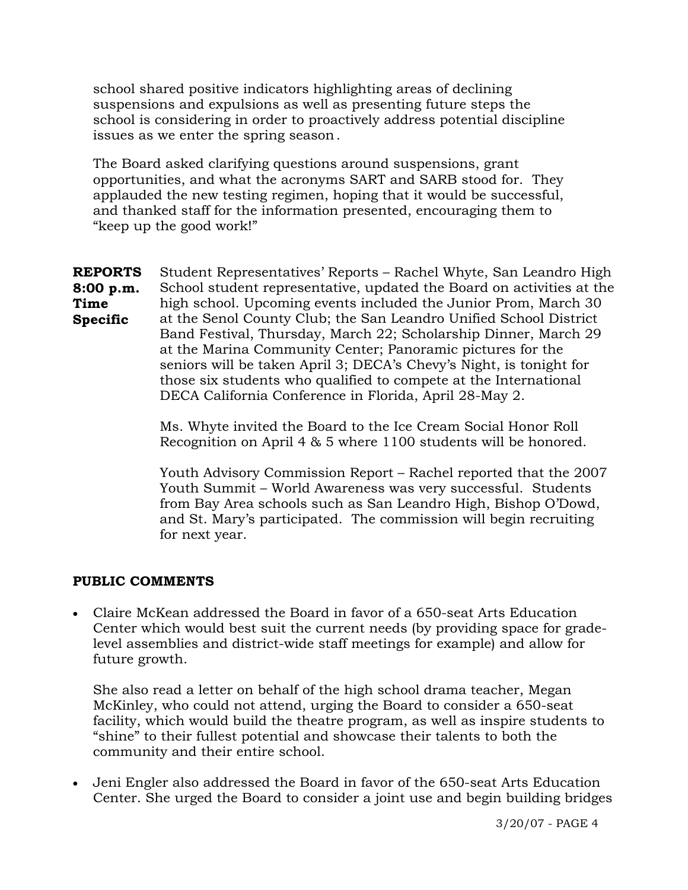school shared positive indicators highlighting areas of declining suspensions and expulsions as well as presenting future steps the school is considering in order to proactively address potential discipline issues as we enter the spring season.

 The Board asked clarifying questions around suspensions, grant opportunities, and what the acronyms SART and SARB stood for. They applauded the new testing regimen, hoping that it would be successful, and thanked staff for the information presented, encouraging them to "keep up the good work!"

**REPORTS 8:00 p.m. Time Specific**  Student Representatives' Reports – Rachel Whyte, San Leandro High School student representative, updated the Board on activities at the high school. Upcoming events included the Junior Prom, March 30 at the Senol County Club; the San Leandro Unified School District Band Festival, Thursday, March 22; Scholarship Dinner, March 29 at the Marina Community Center; Panoramic pictures for the seniors will be taken April 3; DECA's Chevy's Night, is tonight for those six students who qualified to compete at the International DECA California Conference in Florida, April 28-May 2.

> Ms. Whyte invited the Board to the Ice Cream Social Honor Roll Recognition on April 4 & 5 where 1100 students will be honored.

Youth Advisory Commission Report – Rachel reported that the 2007 Youth Summit – World Awareness was very successful. Students from Bay Area schools such as San Leandro High, Bishop O'Dowd, and St. Mary's participated. The commission will begin recruiting for next year.

## **PUBLIC COMMENTS**

• Claire McKean addressed the Board in favor of a 650-seat Arts Education Center which would best suit the current needs (by providing space for gradelevel assemblies and district-wide staff meetings for example) and allow for future growth.

 She also read a letter on behalf of the high school drama teacher, Megan McKinley, who could not attend, urging the Board to consider a 650-seat facility, which would build the theatre program, as well as inspire students to "shine" to their fullest potential and showcase their talents to both the community and their entire school.

• Jeni Engler also addressed the Board in favor of the 650-seat Arts Education Center. She urged the Board to consider a joint use and begin building bridges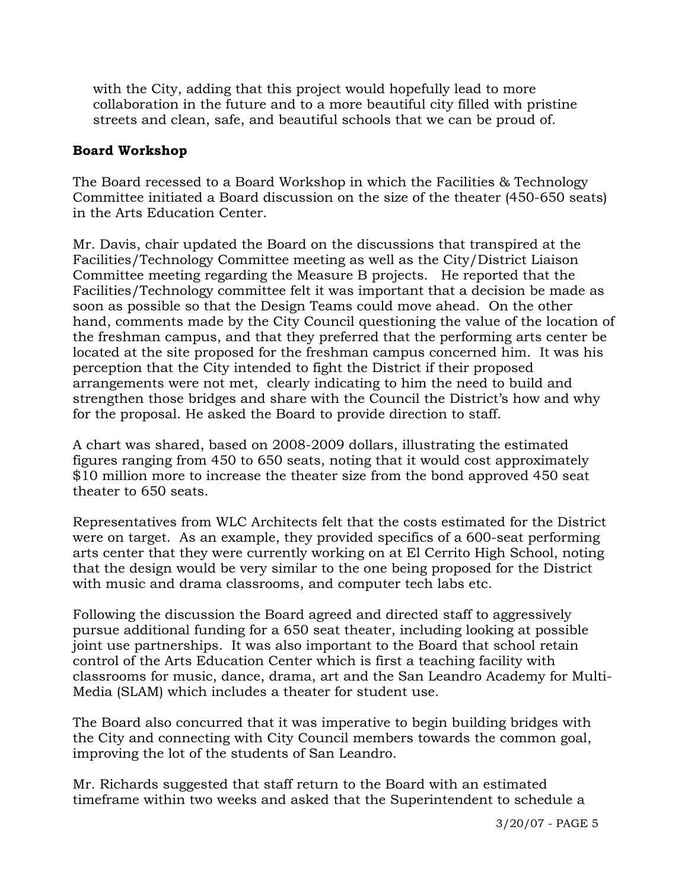with the City, adding that this project would hopefully lead to more collaboration in the future and to a more beautiful city filled with pristine streets and clean, safe, and beautiful schools that we can be proud of.

## **Board Workshop**

The Board recessed to a Board Workshop in which the Facilities & Technology Committee initiated a Board discussion on the size of the theater (450-650 seats) in the Arts Education Center.

Mr. Davis, chair updated the Board on the discussions that transpired at the Facilities/Technology Committee meeting as well as the City/District Liaison Committee meeting regarding the Measure B projects. He reported that the Facilities/Technology committee felt it was important that a decision be made as soon as possible so that the Design Teams could move ahead. On the other hand, comments made by the City Council questioning the value of the location of the freshman campus, and that they preferred that the performing arts center be located at the site proposed for the freshman campus concerned him. It was his perception that the City intended to fight the District if their proposed arrangements were not met, clearly indicating to him the need to build and strengthen those bridges and share with the Council the District's how and why for the proposal. He asked the Board to provide direction to staff.

A chart was shared, based on 2008-2009 dollars, illustrating the estimated figures ranging from 450 to 650 seats, noting that it would cost approximately \$10 million more to increase the theater size from the bond approved 450 seat theater to 650 seats.

Representatives from WLC Architects felt that the costs estimated for the District were on target. As an example, they provided specifics of a 600-seat performing arts center that they were currently working on at El Cerrito High School, noting that the design would be very similar to the one being proposed for the District with music and drama classrooms, and computer tech labs etc.

Following the discussion the Board agreed and directed staff to aggressively pursue additional funding for a 650 seat theater, including looking at possible joint use partnerships. It was also important to the Board that school retain control of the Arts Education Center which is first a teaching facility with classrooms for music, dance, drama, art and the San Leandro Academy for Multi-Media (SLAM) which includes a theater for student use.

The Board also concurred that it was imperative to begin building bridges with the City and connecting with City Council members towards the common goal, improving the lot of the students of San Leandro.

Mr. Richards suggested that staff return to the Board with an estimated timeframe within two weeks and asked that the Superintendent to schedule a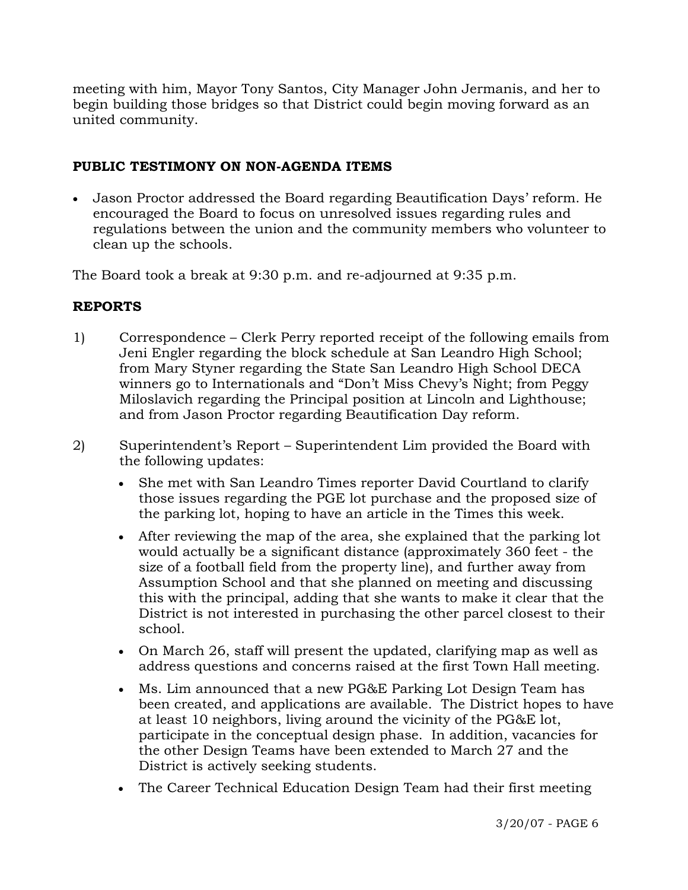meeting with him, Mayor Tony Santos, City Manager John Jermanis, and her to begin building those bridges so that District could begin moving forward as an united community.

# **PUBLIC TESTIMONY ON NON-AGENDA ITEMS**

• Jason Proctor addressed the Board regarding Beautification Days' reform. He encouraged the Board to focus on unresolved issues regarding rules and regulations between the union and the community members who volunteer to clean up the schools.

The Board took a break at 9:30 p.m. and re-adjourned at 9:35 p.m.

# **REPORTS**

- 1) Correspondence Clerk Perry reported receipt of the following emails from Jeni Engler regarding the block schedule at San Leandro High School; from Mary Styner regarding the State San Leandro High School DECA winners go to Internationals and "Don't Miss Chevy's Night; from Peggy Miloslavich regarding the Principal position at Lincoln and Lighthouse; and from Jason Proctor regarding Beautification Day reform.
- 2) Superintendent's Report Superintendent Lim provided the Board with the following updates:
	- She met with San Leandro Times reporter David Courtland to clarify those issues regarding the PGE lot purchase and the proposed size of the parking lot, hoping to have an article in the Times this week.
	- After reviewing the map of the area, she explained that the parking lot would actually be a significant distance (approximately 360 feet - the size of a football field from the property line), and further away from Assumption School and that she planned on meeting and discussing this with the principal, adding that she wants to make it clear that the District is not interested in purchasing the other parcel closest to their school.
	- On March 26, staff will present the updated, clarifying map as well as address questions and concerns raised at the first Town Hall meeting.
	- Ms. Lim announced that a new PG&E Parking Lot Design Team has been created, and applications are available. The District hopes to have at least 10 neighbors, living around the vicinity of the PG&E lot, participate in the conceptual design phase. In addition, vacancies for the other Design Teams have been extended to March 27 and the District is actively seeking students.
	- The Career Technical Education Design Team had their first meeting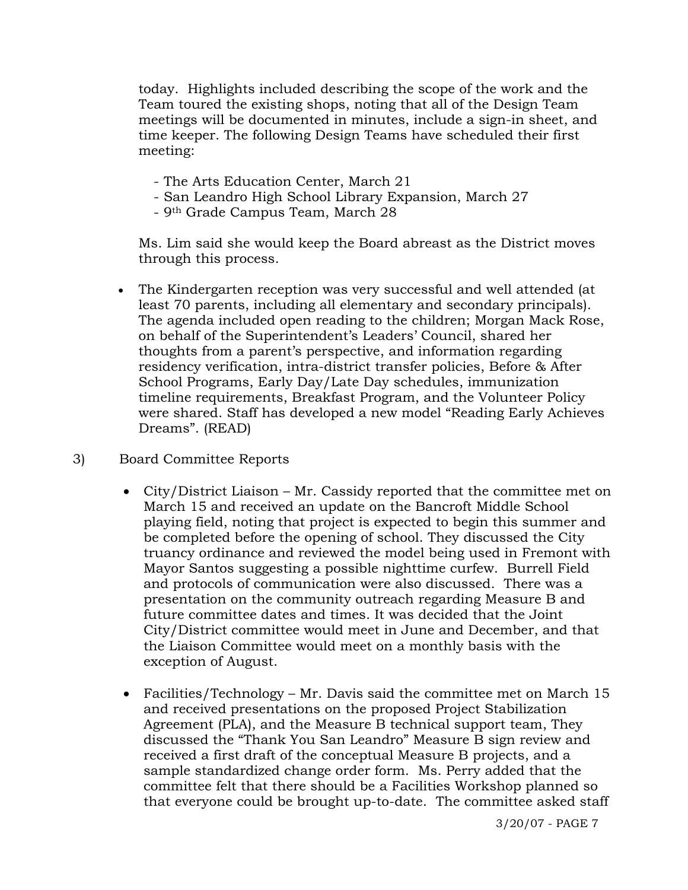today. Highlights included describing the scope of the work and the Team toured the existing shops, noting that all of the Design Team meetings will be documented in minutes, include a sign-in sheet, and time keeper. The following Design Teams have scheduled their first meeting:

- The Arts Education Center, March 21
- San Leandro High School Library Expansion, March 27
- 9th Grade Campus Team, March 28

 Ms. Lim said she would keep the Board abreast as the District moves through this process.

- The Kindergarten reception was very successful and well attended (at least 70 parents, including all elementary and secondary principals). The agenda included open reading to the children; Morgan Mack Rose, on behalf of the Superintendent's Leaders' Council, shared her thoughts from a parent's perspective, and information regarding residency verification, intra-district transfer policies, Before & After School Programs, Early Day/Late Day schedules, immunization timeline requirements, Breakfast Program, and the Volunteer Policy were shared. Staff has developed a new model "Reading Early Achieves Dreams". (READ)
- 3) Board Committee Reports
	- City/District Liaison Mr. Cassidy reported that the committee met on March 15 and received an update on the Bancroft Middle School playing field, noting that project is expected to begin this summer and be completed before the opening of school. They discussed the City truancy ordinance and reviewed the model being used in Fremont with Mayor Santos suggesting a possible nighttime curfew. Burrell Field and protocols of communication were also discussed. There was a presentation on the community outreach regarding Measure B and future committee dates and times. It was decided that the Joint City/District committee would meet in June and December, and that the Liaison Committee would meet on a monthly basis with the exception of August.
	- Facilities/Technology Mr. Davis said the committee met on March 15 and received presentations on the proposed Project Stabilization Agreement (PLA), and the Measure B technical support team, They discussed the "Thank You San Leandro" Measure B sign review and received a first draft of the conceptual Measure B projects, and a sample standardized change order form. Ms. Perry added that the committee felt that there should be a Facilities Workshop planned so that everyone could be brought up-to-date. The committee asked staff

3/20/07 - PAGE 7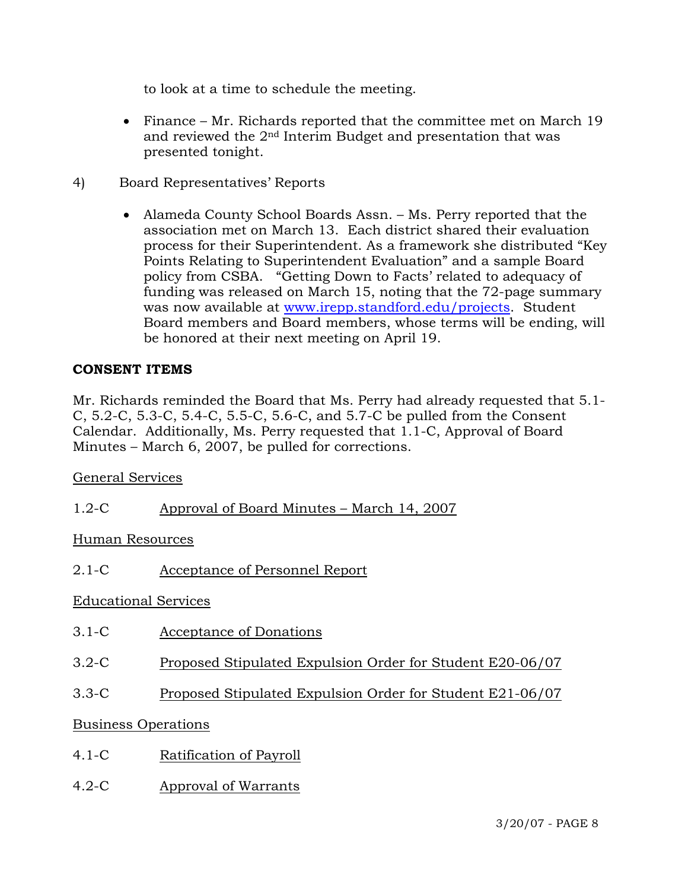to look at a time to schedule the meeting.

- Finance Mr. Richards reported that the committee met on March 19 and reviewed the 2nd Interim Budget and presentation that was presented tonight.
- 4) Board Representatives' Reports
	- Alameda County School Boards Assn. Ms. Perry reported that the association met on March 13. Each district shared their evaluation process for their Superintendent. As a framework she distributed "Key Points Relating to Superintendent Evaluation" and a sample Board policy from CSBA. "Getting Down to Facts' related to adequacy of funding was released on March 15, noting that the 72-page summary was now available at www.irepp.standford.edu/projects. Student Board members and Board members, whose terms will be ending, will be honored at their next meeting on April 19.

# **CONSENT ITEMS**

Mr. Richards reminded the Board that Ms. Perry had already requested that 5.1- C, 5.2-C, 5.3-C, 5.4-C, 5.5-C, 5.6-C, and 5.7-C be pulled from the Consent Calendar. Additionally, Ms. Perry requested that 1.1-C, Approval of Board Minutes – March 6, 2007, be pulled for corrections.

General Services

1.2-C Approval of Board Minutes – March 14, 2007

Human Resources

2.1-C Acceptance of Personnel Report

Educational Services

- 3.1-C Acceptance of Donations
- 3.2-C Proposed Stipulated Expulsion Order for Student E20-06/07
- 3.3-C Proposed Stipulated Expulsion Order for Student E21-06/07

## Business Operations

- 4.1-C Ratification of Payroll
- 4.2-C Approval of Warrants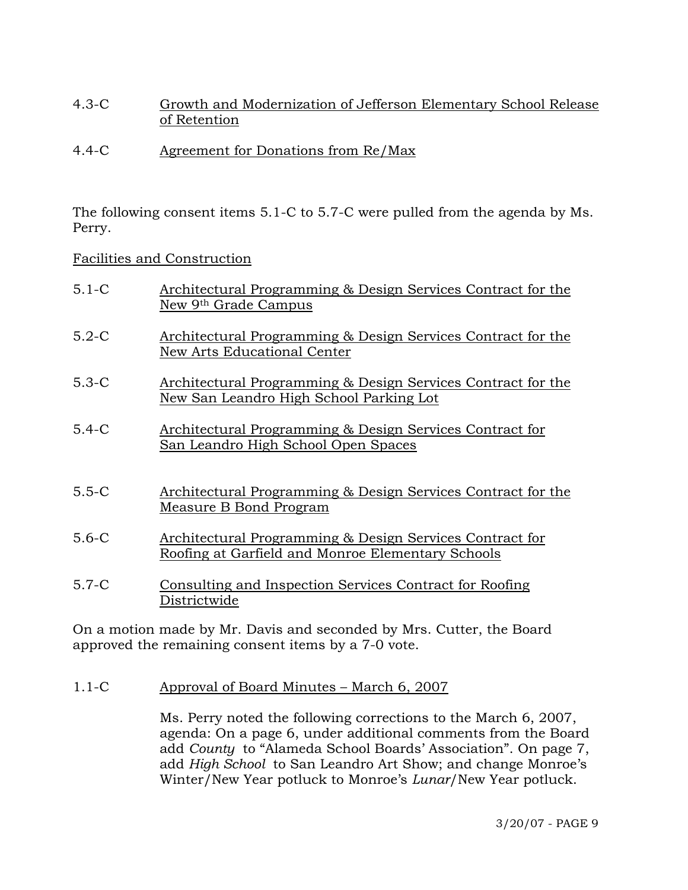# 4.3-C Growth and Modernization of Jefferson Elementary School Release of Retention

4.4-C Agreement for Donations from Re/Max

The following consent items 5.1-C to 5.7-C were pulled from the agenda by Ms. Perry.

Facilities and Construction

| $5.1 - C$ | Architectural Programming & Design Services Contract for the<br>New 9th Grade Campus                          |
|-----------|---------------------------------------------------------------------------------------------------------------|
| $5.2-C$   | Architectural Programming & Design Services Contract for the<br><b>New Arts Educational Center</b>            |
| $5.3-C$   | Architectural Programming & Design Services Contract for the<br>New San Leandro High School Parking Lot       |
| $5.4-C$   | Architectural Programming & Design Services Contract for<br>San Leandro High School Open Spaces               |
| $5.5-C$   | Architectural Programming & Design Services Contract for the<br>Measure B Bond Program                        |
| $5.6 - C$ | Architectural Programming & Design Services Contract for<br>Roofing at Garfield and Monroe Elementary Schools |
| $5.7 - C$ | Consulting and Inspection Services Contract for Roofing<br>Districtwide                                       |

On a motion made by Mr. Davis and seconded by Mrs. Cutter, the Board approved the remaining consent items by a 7-0 vote.

1.1-C Approval of Board Minutes – March 6, 2007

Ms. Perry noted the following corrections to the March 6, 2007, agenda: On a page 6, under additional comments from the Board add *County* to "Alameda School Boards' Association". On page 7, add *High School* to San Leandro Art Show; and change Monroe's Winter/New Year potluck to Monroe's *Lunar*/New Year potluck.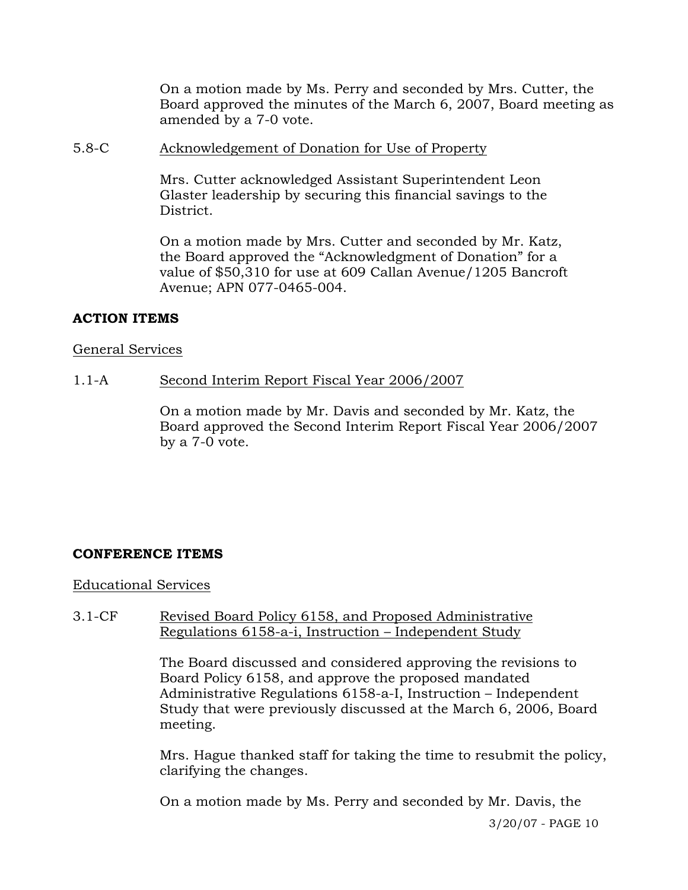On a motion made by Ms. Perry and seconded by Mrs. Cutter, the Board approved the minutes of the March 6, 2007, Board meeting as amended by a 7-0 vote.

5.8-C Acknowledgement of Donation for Use of Property

Mrs. Cutter acknowledged Assistant Superintendent Leon Glaster leadership by securing this financial savings to the District.

On a motion made by Mrs. Cutter and seconded by Mr. Katz, the Board approved the "Acknowledgment of Donation" for a value of \$50,310 for use at 609 Callan Avenue/1205 Bancroft Avenue; APN 077-0465-004.

## **ACTION ITEMS**

## General Services

## 1.1-A Second Interim Report Fiscal Year 2006/2007

On a motion made by Mr. Davis and seconded by Mr. Katz, the Board approved the Second Interim Report Fiscal Year 2006/2007 by a 7-0 vote.

## **CONFERENCE ITEMS**

## Educational Services

3.1-CF Revised Board Policy 6158, and Proposed Administrative Regulations 6158-a-i, Instruction – Independent Study

> The Board discussed and considered approving the revisions to Board Policy 6158, and approve the proposed mandated Administrative Regulations 6158-a-I, Instruction – Independent Study that were previously discussed at the March 6, 2006, Board meeting.

Mrs. Hague thanked staff for taking the time to resubmit the policy, clarifying the changes.

On a motion made by Ms. Perry and seconded by Mr. Davis, the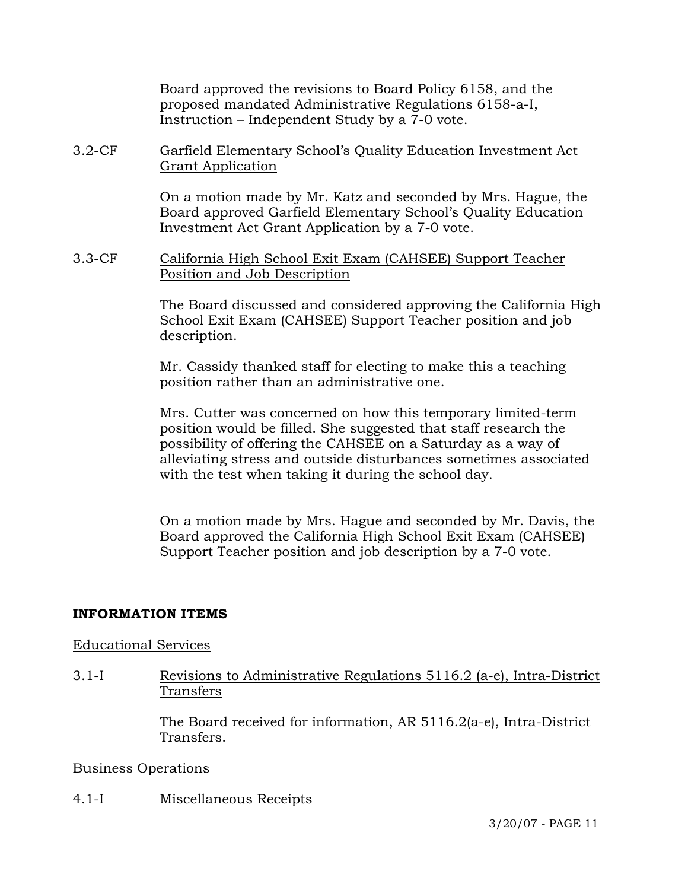Board approved the revisions to Board Policy 6158, and the proposed mandated Administrative Regulations 6158-a-I, Instruction – Independent Study by a 7-0 vote.

3.2-CF Garfield Elementary School's Quality Education Investment Act Grant Application

> On a motion made by Mr. Katz and seconded by Mrs. Hague, the Board approved Garfield Elementary School's Quality Education Investment Act Grant Application by a 7-0 vote.

3.3-CF California High School Exit Exam (CAHSEE) Support Teacher Position and Job Description

> The Board discussed and considered approving the California High School Exit Exam (CAHSEE) Support Teacher position and job description.

Mr. Cassidy thanked staff for electing to make this a teaching position rather than an administrative one.

Mrs. Cutter was concerned on how this temporary limited-term position would be filled. She suggested that staff research the possibility of offering the CAHSEE on a Saturday as a way of alleviating stress and outside disturbances sometimes associated with the test when taking it during the school day.

On a motion made by Mrs. Hague and seconded by Mr. Davis, the Board approved the California High School Exit Exam (CAHSEE) Support Teacher position and job description by a 7-0 vote.

#### **INFORMATION ITEMS**

#### Educational Services

3.1-I Revisions to Administrative Regulations 5116.2 (a-e), Intra-District Transfers

> The Board received for information, AR 5116.2(a-e), Intra-District Transfers.

#### Business Operations

#### 4.1-I Miscellaneous Receipts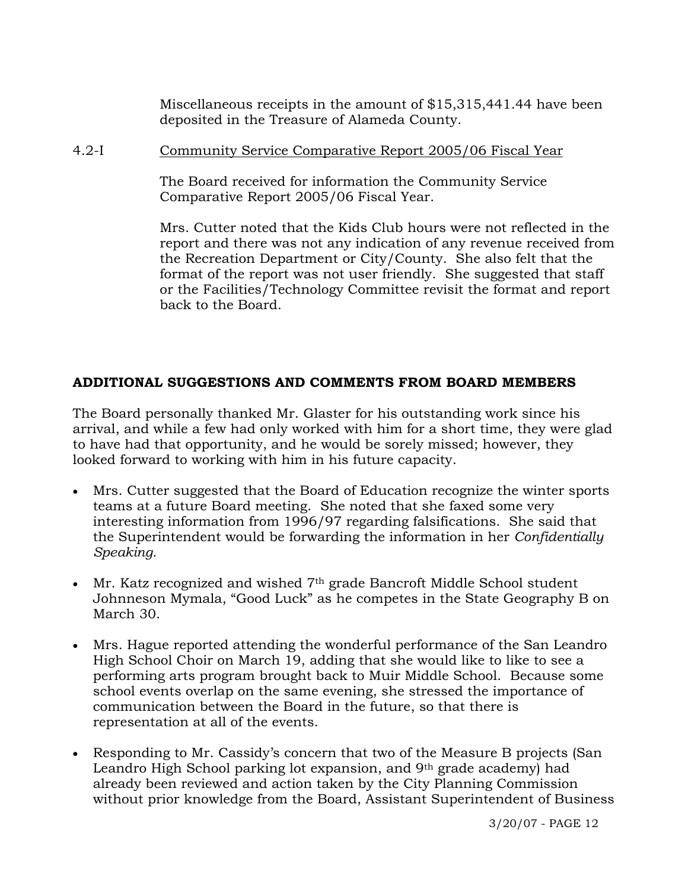Miscellaneous receipts in the amount of \$15,315,441.44 have been deposited in the Treasure of Alameda County.

4.2-I Community Service Comparative Report 2005/06 Fiscal Year

The Board received for information the Community Service Comparative Report 2005/06 Fiscal Year.

Mrs. Cutter noted that the Kids Club hours were not reflected in the report and there was not any indication of any revenue received from the Recreation Department or City/County. She also felt that the format of the report was not user friendly. She suggested that staff or the Facilities/Technology Committee revisit the format and report back to the Board.

# **ADDITIONAL SUGGESTIONS AND COMMENTS FROM BOARD MEMBERS**

The Board personally thanked Mr. Glaster for his outstanding work since his arrival, and while a few had only worked with him for a short time, they were glad to have had that opportunity, and he would be sorely missed; however, they looked forward to working with him in his future capacity.

- Mrs. Cutter suggested that the Board of Education recognize the winter sports teams at a future Board meeting. She noted that she faxed some very interesting information from 1996/97 regarding falsifications. She said that the Superintendent would be forwarding the information in her *Confidentially Speaking*.
- Mr. Katz recognized and wished 7<sup>th</sup> grade Bancroft Middle School student Johnneson Mymala, "Good Luck" as he competes in the State Geography B on March 30.
- Mrs. Hague reported attending the wonderful performance of the San Leandro High School Choir on March 19, adding that she would like to like to see a performing arts program brought back to Muir Middle School. Because some school events overlap on the same evening, she stressed the importance of communication between the Board in the future, so that there is representation at all of the events.
- Responding to Mr. Cassidy's concern that two of the Measure B projects (San Leandro High School parking lot expansion, and 9th grade academy) had already been reviewed and action taken by the City Planning Commission without prior knowledge from the Board, Assistant Superintendent of Business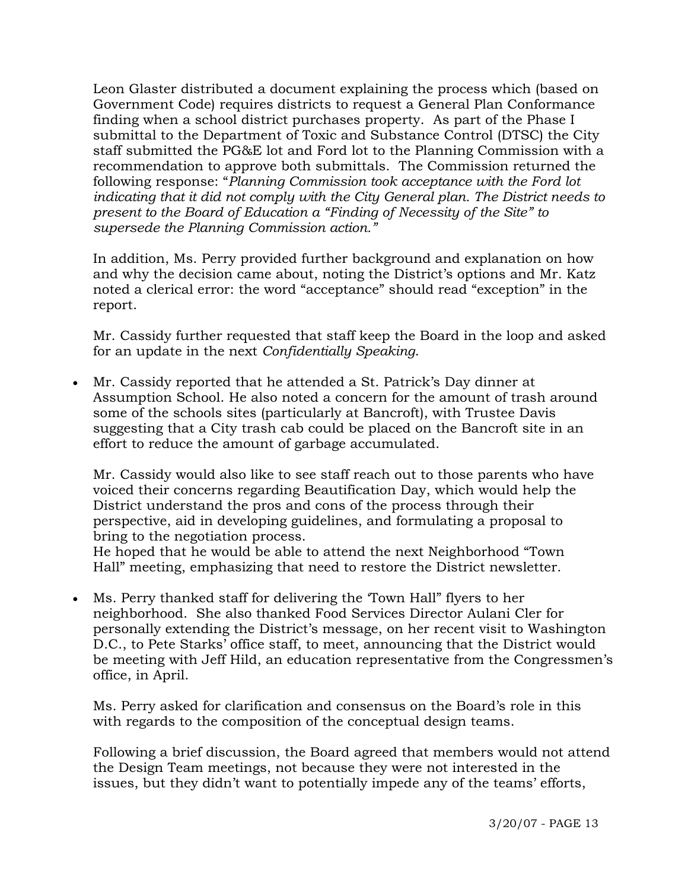Leon Glaster distributed a document explaining the process which (based on Government Code) requires districts to request a General Plan Conformance finding when a school district purchases property. As part of the Phase I submittal to the Department of Toxic and Substance Control (DTSC) the City staff submitted the PG&E lot and Ford lot to the Planning Commission with a recommendation to approve both submittals. The Commission returned the following response: "*Planning Commission took acceptance with the Ford lot*  indicating that it did not comply with the City General plan. The District needs to *present to the Board of Education a "Finding of Necessity of the Site" to supersede the Planning Commission action."*

 In addition, Ms. Perry provided further background and explanation on how and why the decision came about, noting the District's options and Mr. Katz noted a clerical error: the word "acceptance" should read "exception" in the report.

 Mr. Cassidy further requested that staff keep the Board in the loop and asked for an update in the next *Confidentially Speaking*.

• Mr. Cassidy reported that he attended a St. Patrick's Day dinner at Assumption School. He also noted a concern for the amount of trash around some of the schools sites (particularly at Bancroft), with Trustee Davis suggesting that a City trash cab could be placed on the Bancroft site in an effort to reduce the amount of garbage accumulated.

 Mr. Cassidy would also like to see staff reach out to those parents who have voiced their concerns regarding Beautification Day, which would help the District understand the pros and cons of the process through their perspective, aid in developing guidelines, and formulating a proposal to bring to the negotiation process.

 He hoped that he would be able to attend the next Neighborhood "Town Hall" meeting, emphasizing that need to restore the District newsletter.

• Ms. Perry thanked staff for delivering the 'Town Hall" flyers to her neighborhood. She also thanked Food Services Director Aulani Cler for personally extending the District's message, on her recent visit to Washington D.C., to Pete Starks' office staff, to meet, announcing that the District would be meeting with Jeff Hild, an education representative from the Congressmen's office, in April.

 Ms. Perry asked for clarification and consensus on the Board's role in this with regards to the composition of the conceptual design teams.

 Following a brief discussion, the Board agreed that members would not attend the Design Team meetings, not because they were not interested in the issues, but they didn't want to potentially impede any of the teams' efforts,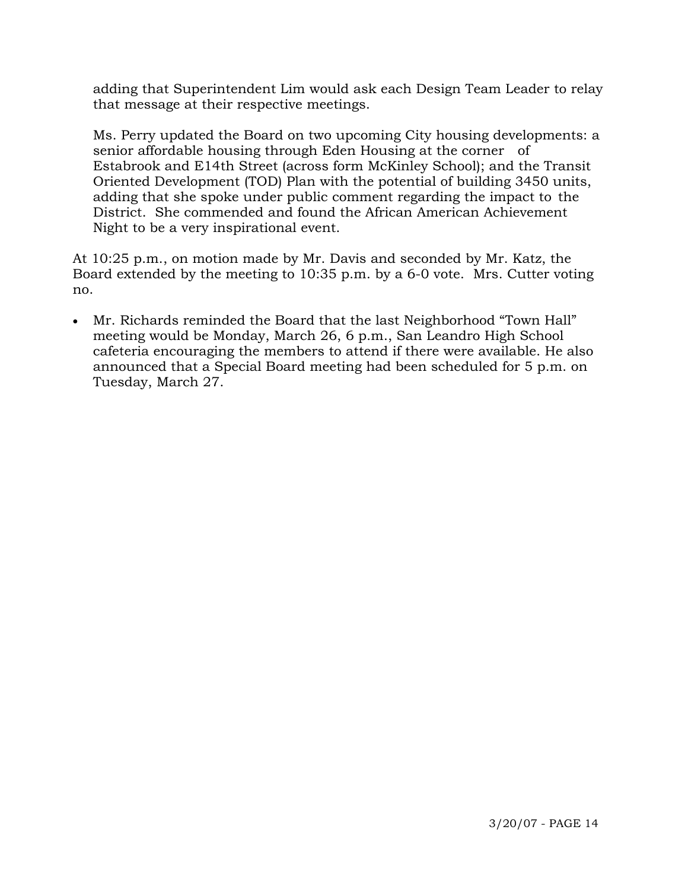adding that Superintendent Lim would ask each Design Team Leader to relay that message at their respective meetings.

 Ms. Perry updated the Board on two upcoming City housing developments: a senior affordable housing through Eden Housing at the corner of Estabrook and E14th Street (across form McKinley School); and the Transit Oriented Development (TOD) Plan with the potential of building 3450 units, adding that she spoke under public comment regarding the impact to the District. She commended and found the African American Achievement Night to be a very inspirational event.

At 10:25 p.m., on motion made by Mr. Davis and seconded by Mr. Katz, the Board extended by the meeting to 10:35 p.m. by a 6-0 vote. Mrs. Cutter voting no.

• Mr. Richards reminded the Board that the last Neighborhood "Town Hall" meeting would be Monday, March 26, 6 p.m., San Leandro High School cafeteria encouraging the members to attend if there were available. He also announced that a Special Board meeting had been scheduled for 5 p.m. on Tuesday, March 27.